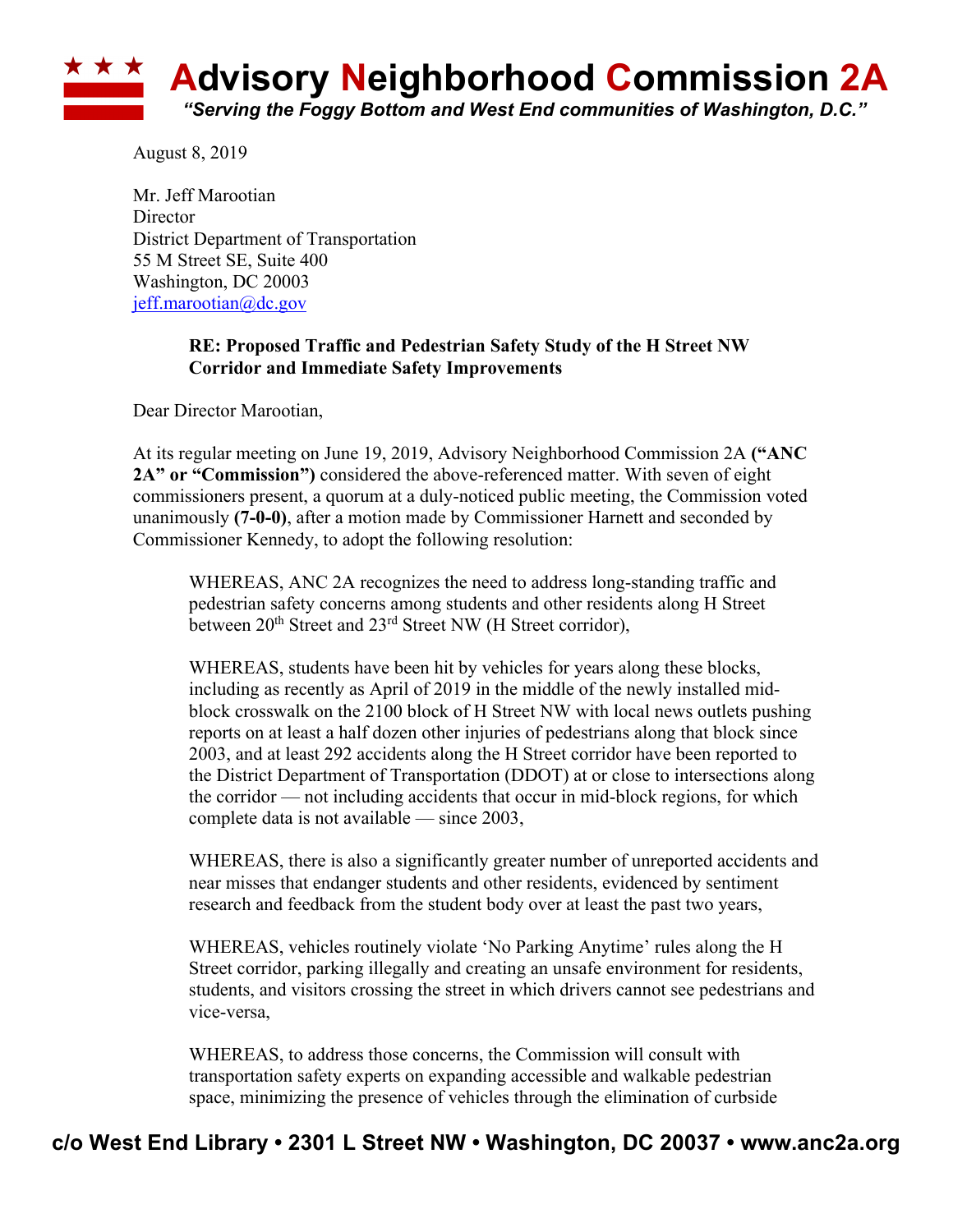

August 8, 2019

Mr. Jeff Marootian **Director** District Department of Transportation 55 M Street SE, Suite 400 Washington, DC 20003 jeff.marootian@dc.gov

## **RE: Proposed Traffic and Pedestrian Safety Study of the H Street NW Corridor and Immediate Safety Improvements**

Dear Director Marootian,

At its regular meeting on June 19, 2019, Advisory Neighborhood Commission 2A **("ANC 2A" or "Commission")** considered the above-referenced matter. With seven of eight commissioners present, a quorum at a duly-noticed public meeting, the Commission voted unanimously **(7-0-0)**, after a motion made by Commissioner Harnett and seconded by Commissioner Kennedy, to adopt the following resolution:

WHEREAS, ANC 2A recognizes the need to address long-standing traffic and pedestrian safety concerns among students and other residents along H Street between 20<sup>th</sup> Street and 23<sup>rd</sup> Street NW (H Street corridor),

WHEREAS, students have been hit by vehicles for years along these blocks, including as recently as April of 2019 in the middle of the newly installed midblock crosswalk on the 2100 block of H Street NW with local news outlets pushing reports on at least a half dozen other injuries of pedestrians along that block since 2003, and at least 292 accidents along the H Street corridor have been reported to the District Department of Transportation (DDOT) at or close to intersections along the corridor — not including accidents that occur in mid-block regions, for which complete data is not available — since 2003,

WHEREAS, there is also a significantly greater number of unreported accidents and near misses that endanger students and other residents, evidenced by sentiment research and feedback from the student body over at least the past two years,

WHEREAS, vehicles routinely violate 'No Parking Anytime' rules along the H Street corridor, parking illegally and creating an unsafe environment for residents, students, and visitors crossing the street in which drivers cannot see pedestrians and vice-versa,

WHEREAS, to address those concerns, the Commission will consult with transportation safety experts on expanding accessible and walkable pedestrian space, minimizing the presence of vehicles through the elimination of curbside

## **c/o West End Library • 2301 L Street NW • Washington, DC 20037 • www.anc2a.org**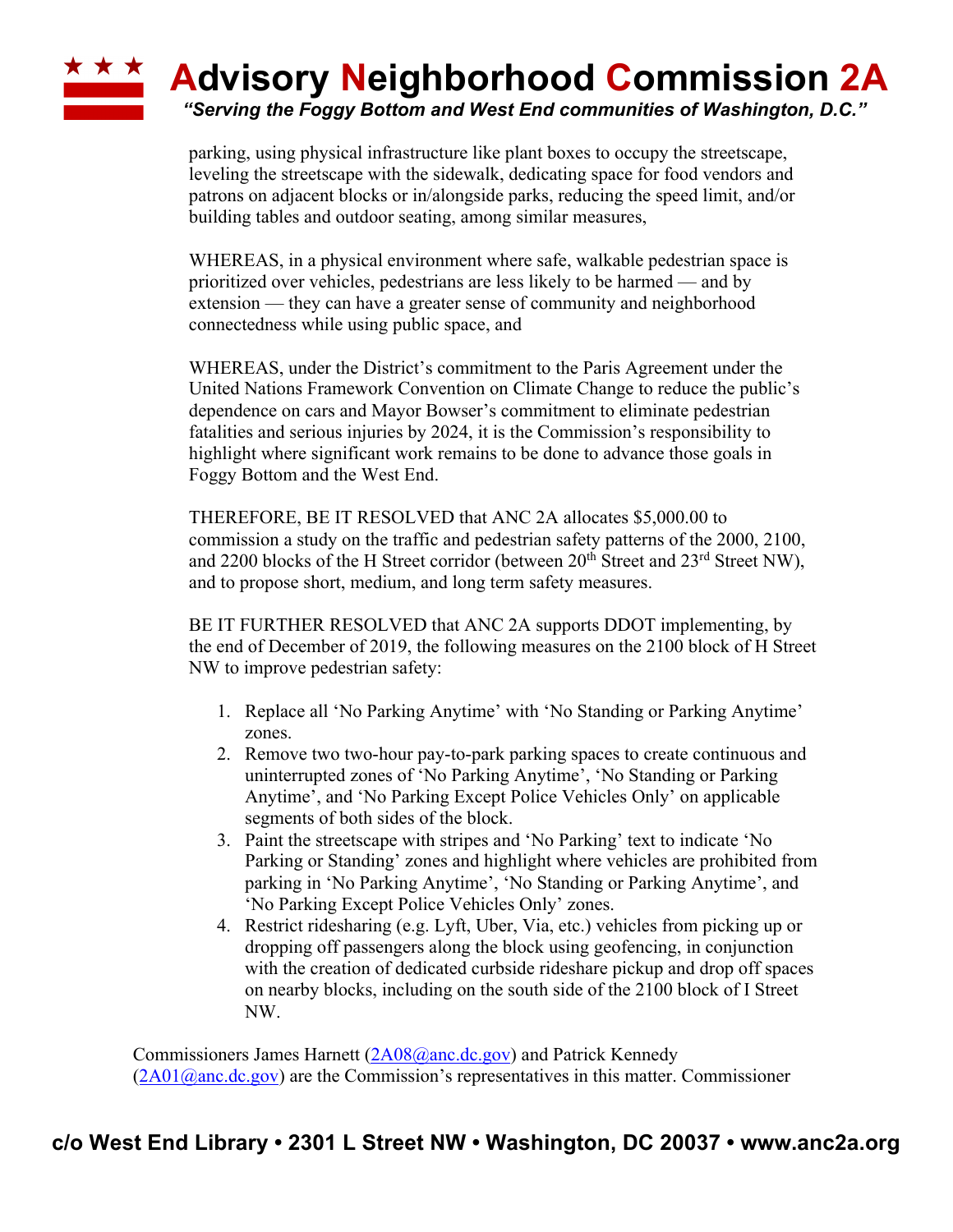## ★ ★ ★ **Advisory Neighborhood Commission 2A**

*"Serving the Foggy Bottom and West End communities of Washington, D.C."*

parking, using physical infrastructure like plant boxes to occupy the streetscape, leveling the streetscape with the sidewalk, dedicating space for food vendors and patrons on adjacent blocks or in/alongside parks, reducing the speed limit, and/or building tables and outdoor seating, among similar measures,

WHEREAS, in a physical environment where safe, walkable pedestrian space is prioritized over vehicles, pedestrians are less likely to be harmed — and by extension — they can have a greater sense of community and neighborhood connectedness while using public space, and

WHEREAS, under the District's commitment to the Paris Agreement under the United Nations Framework Convention on Climate Change to reduce the public's dependence on cars and Mayor Bowser's commitment to eliminate pedestrian fatalities and serious injuries by 2024, it is the Commission's responsibility to highlight where significant work remains to be done to advance those goals in Foggy Bottom and the West End.

THEREFORE, BE IT RESOLVED that ANC 2A allocates \$5,000.00 to commission a study on the traffic and pedestrian safety patterns of the 2000, 2100, and 2200 blocks of the H Street corridor (between  $20<sup>th</sup>$  Street and  $23<sup>rd</sup>$  Street NW), and to propose short, medium, and long term safety measures.

BE IT FURTHER RESOLVED that ANC 2A supports DDOT implementing, by the end of December of 2019, the following measures on the 2100 block of H Street NW to improve pedestrian safety:

- 1. Replace all 'No Parking Anytime' with 'No Standing or Parking Anytime' zones.
- 2. Remove two two-hour pay-to-park parking spaces to create continuous and uninterrupted zones of 'No Parking Anytime', 'No Standing or Parking Anytime', and 'No Parking Except Police Vehicles Only' on applicable segments of both sides of the block.
- 3. Paint the streetscape with stripes and 'No Parking' text to indicate 'No Parking or Standing' zones and highlight where vehicles are prohibited from parking in 'No Parking Anytime', 'No Standing or Parking Anytime', and 'No Parking Except Police Vehicles Only' zones.
- 4. Restrict ridesharing (e.g. Lyft, Uber, Via, etc.) vehicles from picking up or dropping off passengers along the block using geofencing, in conjunction with the creation of dedicated curbside rideshare pickup and drop off spaces on nearby blocks, including on the south side of the 2100 block of I Street NW.

Commissioners James Harnett (2A08@anc.dc.gov) and Patrick Kennedy  $(2A01@anc.de.gov)$  are the Commission's representatives in this matter. Commissioner